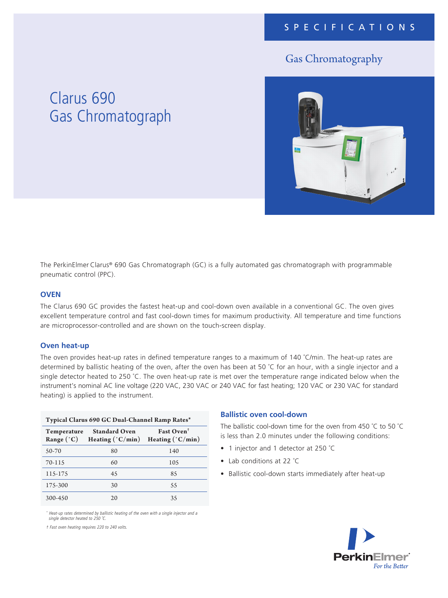### Gas Chromatography

## Clarus 690 Gas Chromatograph



The PerkinElmer Clarus® 690 Gas Chromatograph (GC) is a fully automated gas chromatograph with programmable pneumatic control (PPC).

#### **OVEN**

The Clarus 690 GC provides the fastest heat-up and cool-down oven available in a conventional GC. The oven gives excellent temperature control and fast cool-down times for maximum productivity. All temperature and time functions are microprocessor-controlled and are shown on the touch-screen display.

#### **Oven heat-up**

The oven provides heat-up rates in defined temperature ranges to a maximum of 140 °C/min. The heat-up rates are determined by ballistic heating of the oven, after the oven has been at 50 ˚C for an hour, with a single injector and a single detector heated to 250 ˚C. The oven heat-up rate is met over the temperature range indicated below when the instrument's nominal AC line voltage (220 VAC, 230 VAC or 240 VAC for fast heating; 120 VAC or 230 VAC for standard heating) is applied to the instrument.

| Typical Clarus 690 GC Dual-Channel Ramp Rates* |                                                   |                                                     |
|------------------------------------------------|---------------------------------------------------|-----------------------------------------------------|
| Temperature<br>Range (°C)                      | <b>Standard Oven</b><br>Heating $(^{\circ}C/min)$ | Fast Oven <sup>+</sup><br>Heating $(^{\circ}C/min)$ |
| 50-70                                          | 80                                                | 140                                                 |
| 70-115                                         | 60                                                | 105                                                 |
| 115-175                                        | 45                                                | 85                                                  |
| 175-300                                        | 30                                                | 55                                                  |
| 300-450                                        | 20                                                | 35                                                  |

\* *Heat-up rates determined by ballistic heating of the oven with a single injector and a*  single detector heated to 250 °C.

† Fast oven heating requires 220 to 240 volts.

#### **Ballistic oven cool-down**

The ballistic cool-down time for the oven from 450 °C to 50 °C is less than 2.0 minutes under the following conditions:

- 1 injector and 1 detector at 250 ˚C
- Lab conditions at 22 ˚C
- Ballistic cool-down starts immediately after heat-up

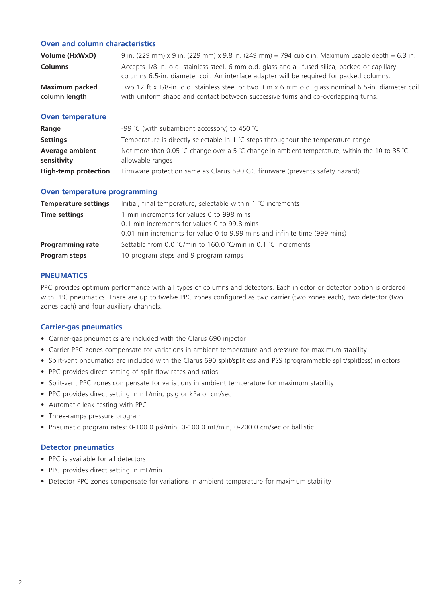#### **Oven and column characteristics**

| Volume (HxWxD)        | 9 in. (229 mm) x 9 in. (229 mm) x 9.8 in. (249 mm) = 794 cubic in. Maximum usable depth = 6.3 in.                                                                                           |
|-----------------------|---------------------------------------------------------------------------------------------------------------------------------------------------------------------------------------------|
| <b>Columns</b>        | Accepts 1/8-in. o.d. stainless steel, 6 mm o.d. glass and all fused silica, packed or capillary<br>columns 6.5-in. diameter coil. An interface adapter will be required for packed columns. |
| <b>Maximum packed</b> | Two 12 ft x 1/8-in. o.d. stainless steel or two 3 m x 6 mm o.d. glass nominal 6.5-in. diameter coil                                                                                         |
| column length         | with uniform shape and contact between successive turns and co-overlapping turns.                                                                                                           |

#### **Oven temperature**

| Range                       | -99 °C (with subambient accessory) to 450 °C                                                   |
|-----------------------------|------------------------------------------------------------------------------------------------|
| <b>Settings</b>             | Temperature is directly selectable in 1 $\degree$ C steps throughout the temperature range     |
| <b>Average ambient</b>      | Not more than 0.05 °C change over a 5 °C change in ambient temperature, within the 10 to 35 °C |
| sensitivity                 | allowable ranges                                                                               |
| <b>High-temp protection</b> | Firmware protection same as Clarus 590 GC firmware (prevents safety hazard)                    |

#### **Oven temperature programming**

| <b>Temperature settings</b> | Initial, final temperature, selectable within 1 °C increments             |
|-----------------------------|---------------------------------------------------------------------------|
| <b>Time settings</b>        | 1 min increments for values 0 to 998 mins                                 |
|                             | 0.1 min increments for values 0 to 99.8 mins                              |
|                             | 0.01 min increments for value 0 to 9.99 mins and infinite time (999 mins) |
| <b>Programming rate</b>     | Settable from 0.0 °C/min to 160.0 °C/min in 0.1 °C increments             |
| Program steps               | 10 program steps and 9 program ramps                                      |

#### **PNEUMATICS**

PPC provides optimum performance with all types of columns and detectors. Each injector or detector option is ordered with PPC pneumatics. There are up to twelve PPC zones configured as two carrier (two zones each), two detector (two zones each) and four auxiliary channels.

#### **Carrier-gas pneumatics**

- Carrier-gas pneumatics are included with the Clarus 690 injector
- Carrier PPC zones compensate for variations in ambient temperature and pressure for maximum stability
- Split-vent pneumatics are included with the Clarus 690 split/splitless and PSS (programmable split/splitless) injectors
- PPC provides direct setting of split-flow rates and ratios
- Split-vent PPC zones compensate for variations in ambient temperature for maximum stability
- PPC provides direct setting in mL/min, psig or kPa or cm/sec
- Automatic leak testing with PPC
- Three-ramps pressure program
- Pneumatic program rates: 0-100.0 psi/min, 0-100.0 mL/min, 0-200.0 cm/sec or ballistic

#### **Detector pneumatics**

- PPC is available for all detectors
- PPC provides direct setting in mL/min
- Detector PPC zones compensate for variations in ambient temperature for maximum stability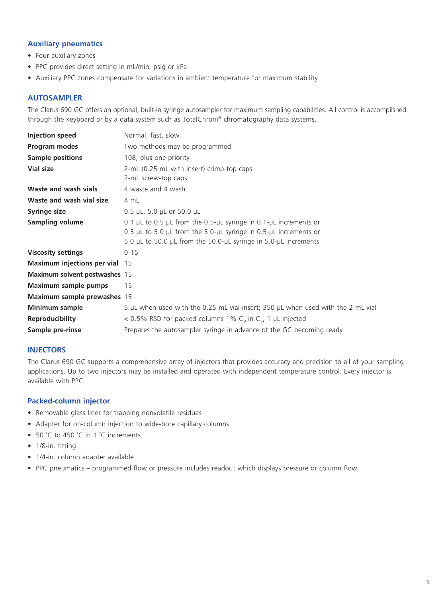#### **Auxiliary pneumatics**

- Four auxiliary zones
- PPC provides direct setting in mL/min, psig or kPa
- Auxiliary PPC zones compensate for variations in ambient temperature for maximum stability

#### **AUTOSAMPLER**

The Clarus 690 GC offers an optional, built-in syringe autosampler for maximum sampling capabilities. All control is accomplished through the keyboard or by a data system such as TotalChrom® chromatography data systems.

| <b>Injection speed</b>                | Normal, fast, slow                                                               |
|---------------------------------------|----------------------------------------------------------------------------------|
| Program modes                         | Two methods may be programmed                                                    |
| <b>Sample positions</b>               | 108, plus one priority                                                           |
| <b>Vial size</b>                      | 2-mL (0.25 mL with insert) crimp-top caps                                        |
|                                       | 2-mL screw-top caps                                                              |
| Waste and wash vials                  | 4 waste and 4 wash                                                               |
| Waste and wash vial size              | 4 mL                                                                             |
| Syringe size                          | 0.5 $\mu$ L, 5.0 $\mu$ L or 50.0 $\mu$ L                                         |
| <b>Sampling volume</b>                | 0.1 µL to 0.5 µL from the 0.5-µL syringe in 0.1-µL increments or                 |
|                                       | 0.5 µL to 5.0 µL from the 5.0-µL syringe in 0.5-µL increments or                 |
|                                       | 5.0 µL to 50.0 µL from the 50.0-µL syringe in 5.0-µL increments                  |
| <b>Viscosity settings</b>             | $0 - 15$                                                                         |
| <b>Maximum injections per vial</b> 15 |                                                                                  |
| Maximum solvent postwashes 15         |                                                                                  |
| <b>Maximum sample pumps</b>           | 15                                                                               |
| Maximum sample prewashes 15           |                                                                                  |
| Minimum sample                        | 5 µL when used with the 0.25-mL vial insert; 350 µL when used with the 2-mL vial |
| <b>Reproducibility</b>                | < 0.5% RSD for packed columns 1% $C9$ in $C7$ , 1 µL injected                    |
| Sample pre-rinse                      | Prepares the autosampler syringe in advance of the GC becoming ready             |

#### **INJECTORS**

The Clarus 690 GC supports a comprehensive array of injectors that provides accuracy and precision to all of your sampling applications. Up to two injectors may be installed and operated with independent temperature control. Every injector is available with PPC.

#### **Packed-column injector**

- Removable glass liner for trapping nonvolatile residues
- Adapter for on-column injection to wide-bore capillary columns
- 50 °C to 450 °C in 1 °C increments
- 1/8-in. fitting
- 1/4-in. column adapter available
- PPC pneumatics programmed flow or pressure includes readout which displays pressure or column flow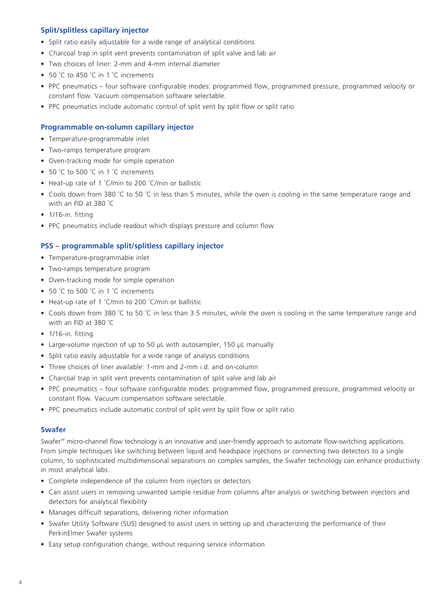#### **Split/splitless capillary injector**

- Split ratio easily adjustable for a wide range of analytical conditions
- Charcoal trap in split vent prevents contamination of split valve and lab air
- Two choices of liner: 2-mm and 4-mm internal diameter
- 50 °C to 450 °C in 1 °C increments
- PPC pneumatics four software configurable modes: programmed flow, programmed pressure, programmed velocity or constant flow. Vacuum compensation software selectable.
- PPC pneumatics include automatic control of split vent by split flow or split ratio

#### **Programmable on-column capillary injector**

- Temperature-programmable inlet
- Two-ramps temperature program
- Oven-tracking mode for simple operation
- 50 °C to 500 °C in 1 °C increments
- Heat-up rate of 1 ˚C/min to 200 ˚C/min or ballistic
- Cools down from 380 ˚C to 50 ˚C in less than 5 minutes, while the oven is cooling in the same temperature range and with an FID at 380 ˚C
- 1/16-in. fitting
- PPC pneumatics include readout which displays pressure and column flow

#### **PSS – programmable split/splitless capillary injector**

- Temperature-programmable inlet
- Two-ramps temperature program
- Oven-tracking mode for simple operation
- 50 °C to 500 °C in 1 °C increments
- Heat-up rate of 1 ˚C/min to 200 ˚C/min or ballistic
- Cools down from 380 ˚C to 50 ˚C in less than 3.5 minutes, while the oven is cooling in the same temperature range and with an FID at 380 ˚C
- 1/16-in. fitting
- Large-volume injection of up to 50 µL with autosampler, 150 µL manually
- Split ratio easily adjustable for a wide range of analysis conditions
- Three choices of liner available: 1-mm and 2-mm i.d. and on-column
- Charcoal trap in split vent prevents contamination of split valve and lab air
- PPC pneumatics four software configurable modes: programmed flow, programmed pressure, programmed velocity or constant flow. Vacuum compensation software selectable.
- PPC pneumatics include automatic control of split vent by split flow or split ratio

#### **Swafer**

Swafer™ micro-channel flow technology is an innovative and user-friendly approach to automate flow-switching applications. From simple techniques like switching between liquid and headspace injections or connecting two detectors to a single column, to sophisticated multidimensional separations on complex samples, the Swafer technology can enhance productivity in most analytical labs.

- Complete independence of the column from injectors or detectors
- Can assist users in removing unwanted sample residue from columns after analysis or switching between injectors and detectors for analytical flexibility
- Manages difficult separations, delivering richer information
- Swafer Utility Software (SUS) designed to assist users in setting up and characterizing the performance of their PerkinElmer Swafer systems
- Easy setup configuration change, without requiring service information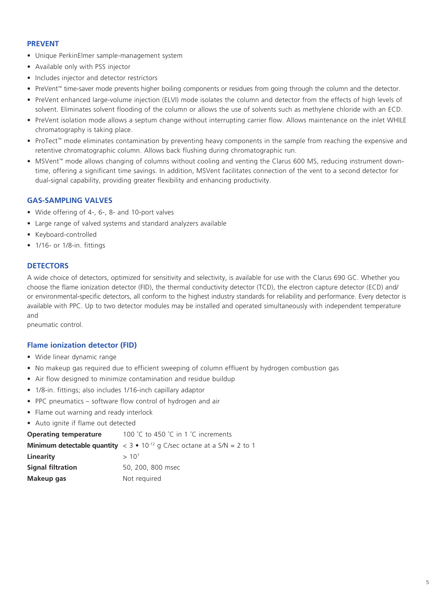#### **PREVENT**

- Unique PerkinElmer sample-management system
- Available only with PSS injector
- Includes injector and detector restrictors
- PreVent™ time-saver mode prevents higher boiling components or residues from going through the column and the detector.
- PreVent enhanced large-volume injection (ELVI) mode isolates the column and detector from the effects of high levels of solvent. Eliminates solvent flooding of the column or allows the use of solvents such as methylene chloride with an ECD.
- PreVent isolation mode allows a septum change without interrupting carrier flow. Allows maintenance on the inlet WHILE chromatography is taking place.
- ProTect™ mode eliminates contamination by preventing heavy components in the sample from reaching the expensive and retentive chromatographic column. Allows back flushing during chromatographic run.
- MSVent™ mode allows changing of columns without cooling and venting the Clarus 600 MS, reducing instrument downtime, offering a significant time savings. In addition, MSVent facilitates connection of the vent to a second detector for dual-signal capability, providing greater flexibility and enhancing productivity.

#### **GAS-SAMPLING VALVES**

- Wide offering of 4-, 6-, 8- and 10-port valves
- Large range of valved systems and standard analyzers available
- Keyboard-controlled
- 1/16- or 1/8-in. fittings

#### **DETECTORS**

A wide choice of detectors, optimized for sensitivity and selectivity, is available for use with the Clarus 690 GC. Whether you choose the flame ionization detector (FID), the thermal conductivity detector (TCD), the electron capture detector (ECD) and/ or environmental-specific detectors, all conform to the highest industry standards for reliability and performance. Every detector is available with PPC. Up to two detector modules may be installed and operated simultaneously with independent temperature and

pneumatic control.

#### **Flame ionization detector (FID)**

- Wide linear dynamic range
- No makeup gas required due to efficient sweeping of column effluent by hydrogen combustion gas
- Air flow designed to minimize contamination and residue buildup
- 1/8-in. fittings; also includes 1/16-inch capillary adaptor
- PPC pneumatics software flow control of hydrogen and air
- Flame out warning and ready interlock
- Auto ignite if flame out detected

**Operating temperature** 100 °C to 450 °C in 1 °C increments

|                          | <b>Minimum detectable quantity</b> $\langle 3 \cdot 10^{12} \text{ q} \rangle$ C/sec octane at a S/N = 2 to 1 |
|--------------------------|---------------------------------------------------------------------------------------------------------------|
| Linearitv                | $>10^{7}$                                                                                                     |
| <b>Signal filtration</b> | 50, 200, 800 msec                                                                                             |
| Makeup gas               | Not required                                                                                                  |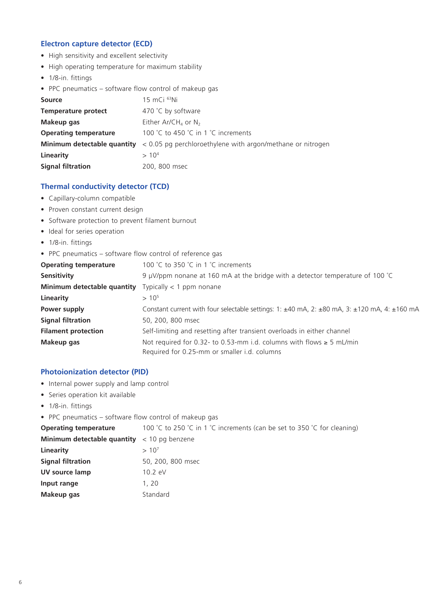#### **Electron capture detector (ECD)**

- High sensitivity and excellent selectivity
- High operating temperature for maximum stability
- 1/8-in. fittings
- PPC pneumatics software flow control of makeup gas

| <b>Source</b>                | $15$ mCi $^{63}$ Ni                                                                    |
|------------------------------|----------------------------------------------------------------------------------------|
| <b>Temperature protect</b>   | 470 °C by software                                                                     |
| Makeup gas                   | Either Ar/CH <sub>4</sub> or N <sub>2</sub>                                            |
| <b>Operating temperature</b> | 100 °C to 450 °C in 1 °C increments                                                    |
|                              | Minimum detectable quantity < 0.05 pg perchloroethylene with argon/methane or nitrogen |
| Linearity                    | > 10 <sup>4</sup>                                                                      |
| <b>Signal filtration</b>     | 200, 800 msec                                                                          |

#### **Thermal conductivity detector (TCD)**

- Capillary-column compatible
- Proven constant current design
- Software protection to prevent filament burnout
- Ideal for series operation
- 1/8-in. fittings
- PPC pneumatics software flow control of reference gas

| <b>Operating temperature</b> | 100 °C to 350 °C in 1 °C increments                                                                              |
|------------------------------|------------------------------------------------------------------------------------------------------------------|
| Sensitivity                  | 9 µV/ppm nonane at 160 mA at the bridge with a detector temperature of 100 $^{\circ}$ C                          |
| Minimum detectable quantity  | Typically $<$ 1 ppm nonane                                                                                       |
| Linearity                    | $> 10^5$                                                                                                         |
| Power supply                 | Constant current with four selectable settings: 1: $\pm$ 40 mA, 2: $\pm$ 80 mA, 3: $\pm$ 120 mA, 4: $\pm$ 160 mA |
| <b>Signal filtration</b>     | 50, 200, 800 msec                                                                                                |
| <b>Filament protection</b>   | Self-limiting and resetting after transient overloads in either channel                                          |
| Makeup gas                   | Not required for 0.32- to 0.53-mm i.d. columns with flows $\geq$ 5 mL/min                                        |
|                              | Required for 0.25-mm or smaller i.d. columns                                                                     |

#### **Photoionization detector (PID)**

- Internal power supply and lamp control
- Series operation kit available
- 1/8-in. fittings
- PPC pneumatics software flow control of makeup gas

| <b>Operating temperature</b>                                       | 100 °C to 250 °C in 1 °C increments (can be set to 350 °C for cleaning) |
|--------------------------------------------------------------------|-------------------------------------------------------------------------|
| <b>Minimum detectable quantity</b> $\langle 10 \rangle$ pg benzene |                                                                         |
| Linearity                                                          | $>10^{7}$                                                               |
| <b>Signal filtration</b>                                           | 50, 200, 800 msec                                                       |
| UV source lamp                                                     | $10.2 \text{ eV}$                                                       |
| Input range                                                        | 1, 20                                                                   |
| Makeup gas                                                         | Standard                                                                |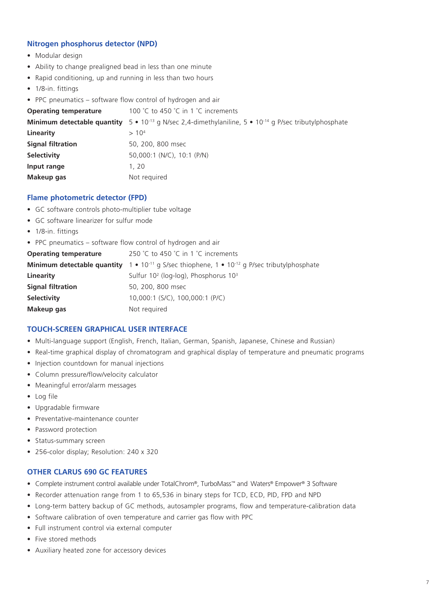#### **Nitrogen phosphorus detector (NPD)**

- Modular design
- Ability to change prealigned bead in less than one minute
- Rapid conditioning, up and running in less than two hours
- 1/8-in. fittings
- PPC pneumatics software flow control of hydrogen and air

| <b>Operating temperature</b> | 100 °C to 450 °C in 1 °C increments                                                          |
|------------------------------|----------------------------------------------------------------------------------------------|
| Minimum detectable quantity  | $5 \cdot 10^{-13}$ g N/sec 2,4-dimethylaniline, $5 \cdot 10^{-14}$ g P/sec tributylphosphate |
| Linearity                    | > 10 <sup>4</sup>                                                                            |
| <b>Signal filtration</b>     | 50, 200, 800 msec                                                                            |
| <b>Selectivity</b>           | 50,000:1 (N/C), 10:1 (P/N)                                                                   |
| Input range                  | 1.20                                                                                         |
| Makeup gas                   | Not required                                                                                 |

#### **Flame photometric detector (FPD)**

- GC software controls photo-multiplier tube voltage
- GC software linearizer for sulfur mode
- 1/8-in. fittings
- PPC pneumatics software flow control of hydrogen and air

| <b>Operating temperature</b> | 250 °C to 450 °C in 1 °C increments                                                                                   |
|------------------------------|-----------------------------------------------------------------------------------------------------------------------|
|                              | <b>Minimum detectable quantity</b> $1 \cdot 10^{-11}$ g S/sec thiophene, $1 \cdot 10^{-12}$ g P/sec tributylphosphate |
| Linearity                    | Sulfur $10^2$ (log-log), Phosphorus $10^3$                                                                            |
| <b>Signal filtration</b>     | 50, 200, 800 msec                                                                                                     |
| <b>Selectivity</b>           | 10,000:1 (S/C), 100,000:1 (P/C)                                                                                       |
| Makeup gas                   | Not required                                                                                                          |
|                              |                                                                                                                       |

#### **TOUCH-SCREEN GRAPHICAL USER INTERFACE**

- Multi-language support (English, French, Italian, German, Spanish, Japanese, Chinese and Russian)
- Real-time graphical display of chromatogram and graphical display of temperature and pneumatic programs
- Injection countdown for manual injections
- Column pressure/flow/velocity calculator
- Meaningful error/alarm messages
- Log file
- Upgradable firmware
- Preventative-maintenance counter
- Password protection
- Status-summary screen
- 256-color display; Resolution: 240 x 320

#### **OTHER CLARUS 690 GC FEATURES**

- Complete instrument control available under TotalChrom®, TurboMass™ and Waters® Empower® 3 Software
- Recorder attenuation range from 1 to 65,536 in binary steps for TCD, ECD, PID, FPD and NPD
- Long-term battery backup of GC methods, autosampler programs, flow and temperature-calibration data
- Software calibration of oven temperature and carrier gas flow with PPC
- Full instrument control via external computer
- Five stored methods
- Auxiliary heated zone for accessory devices